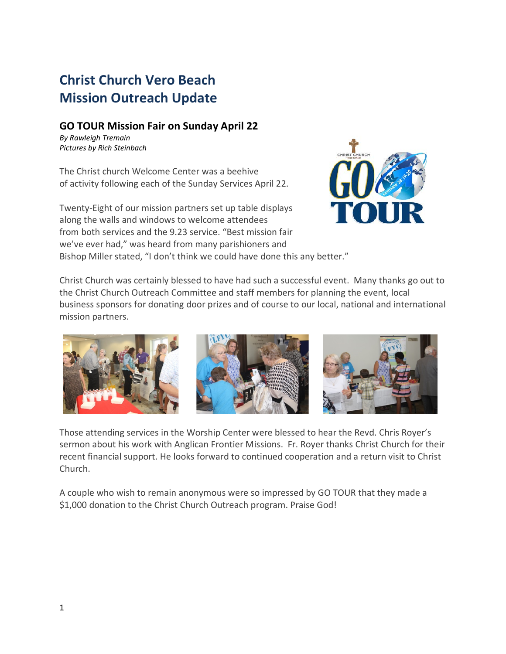## **Christ Church Vero Beach Mission Outreach Update**

## **GO TOUR Mission Fair on Sunday April 22**

*By Rawleigh Tremain Pictures by Rich Steinbach*

The Christ church Welcome Center was a beehive of activity following each of the Sunday Services April 22.

Twenty-Eight of our mission partners set up table displays along the walls and windows to welcome attendees from both services and the 9.23 service. "Best mission fair we've ever had," was heard from many parishioners and Bishop Miller stated, "I don't think we could have done this any better."



Christ Church was certainly blessed to have had such a successful event. Many thanks go out to the Christ Church Outreach Committee and staff members for planning the event, local business sponsors for donating door prizes and of course to our local, national and international mission partners.



Those attending services in the Worship Center were blessed to hear the Revd. Chris Royer's sermon about his work with Anglican Frontier Missions. Fr. Royer thanks Christ Church for their recent financial support. He looks forward to continued cooperation and a return visit to Christ Church.

A couple who wish to remain anonymous were so impressed by GO TOUR that they made a \$1,000 donation to the Christ Church Outreach program. Praise God!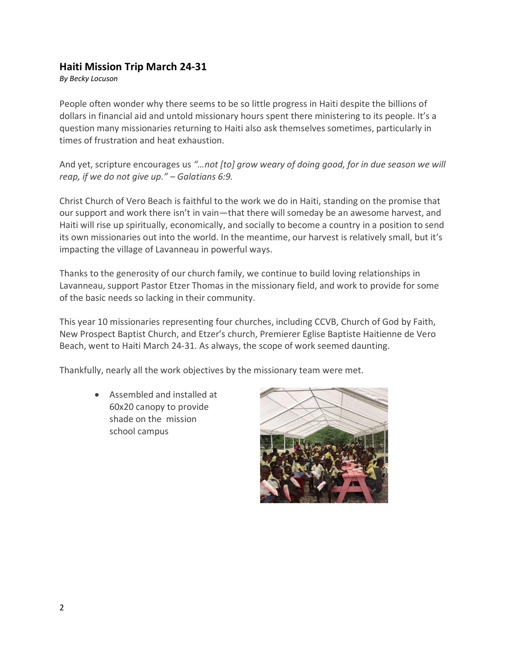## **Haiti Mission Trip March 24-31**

*By Becky Locuson*

People often wonder why there seems to be so little progress in Haiti despite the billions of dollars in financial aid and untold missionary hours spent there ministering to its people. It's a question many missionaries returning to Haiti also ask themselves sometimes, particularly in times of frustration and heat exhaustion.

And yet, scripture encourages us *"…not [to] grow weary of doing good, for in due season we will reap, if we do not give up." – Galatians 6:9.* 

Christ Church of Vero Beach is faithful to the work we do in Haiti, standing on the promise that our support and work there isn't in vain—that there will someday be an awesome harvest, and Haiti will rise up spiritually, economically, and socially to become a country in a position to send its own missionaries out into the world. In the meantime, our harvest is relatively small, but it's impacting the village of Lavanneau in powerful ways.

Thanks to the generosity of our church family, we continue to build loving relationships in Lavanneau, support Pastor Etzer Thomas in the missionary field, and work to provide for some of the basic needs so lacking in their community.

This year 10 missionaries representing four churches, including CCVB, Church of God by Faith, New Prospect Baptist Church, and Etzer's church, Premierer Eglise Baptiste Haitienne de Vero Beach, went to Haiti March 24-31. As always, the scope of work seemed daunting.

Thankfully, nearly all the work objectives by the missionary team were met.

• Assembled and installed at 60x20 canopy to provide shade on the mission school campus

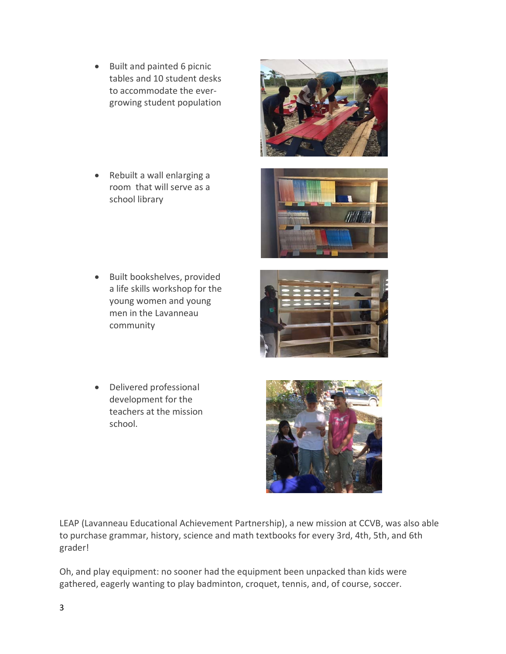- Built and painted 6 picnic tables and 10 student desks to accommodate the evergrowing student population
- Rebuilt a wall enlarging a room that will serve as a school library

- Built bookshelves, provided a life skills workshop for the young women and young men in the Lavanneau community
- Delivered professional development for the teachers at the mission school.

LEAP (Lavanneau Educational Achievement Partnership), a new mission at CCVB, was also able to purchase grammar, history, science and math textbooks for every 3rd, 4th, 5th, and 6th grader!

Oh, and play equipment: no sooner had the equipment been unpacked than kids were gathered, eagerly wanting to play badminton, croquet, tennis, and, of course, soccer.